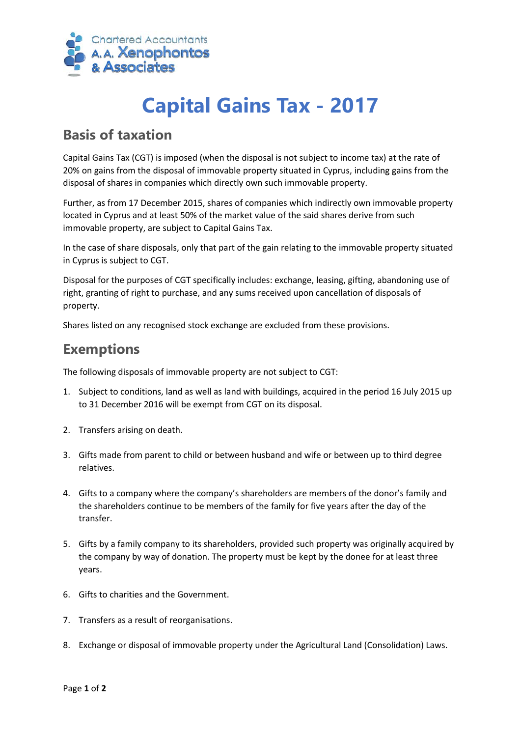

# **Capital Gains Tax - 2017**

### **Basis of taxation**

Capital Gains Tax (CGT) is imposed (when the disposal is not subject to income tax) at the rate of 20% on gains from the disposal of immovable property situated in Cyprus, including gains from the disposal of shares in companies which directly own such immovable property.

Further, as from 17 December 2015, shares of companies which indirectly own immovable property located in Cyprus and at least 50% of the market value of the said shares derive from such immovable property, are subject to Capital Gains Tax.

In the case of share disposals, only that part of the gain relating to the immovable property situated in Cyprus is subject to CGT.

Disposal for the purposes of CGT specifically includes: exchange, leasing, gifting, abandoning use of right, granting of right to purchase, and any sums received upon cancellation of disposals of property.

Shares listed on any recognised stock exchange are excluded from these provisions.

#### **Exemptions**

The following disposals of immovable property are not subject to CGT:

- 1. Subject to conditions, land as well as land with buildings, acquired in the period 16 July 2015 up to 31 December 2016 will be exempt from CGT on its disposal.
- 2. Transfers arising on death.
- 3. Gifts made from parent to child or between husband and wife or between up to third degree relatives.
- 4. Gifts to a company where the company's shareholders are members of the donor's family and the shareholders continue to be members of the family for five years after the day of the transfer.
- 5. Gifts by a family company to its shareholders, provided such property was originally acquired by the company by way of donation. The property must be kept by the donee for at least three years.
- 6. Gifts to charities and the Government.
- 7. Transfers as a result of reorganisations.
- 8. Exchange or disposal of immovable property under the Agricultural Land (Consolidation) Laws.